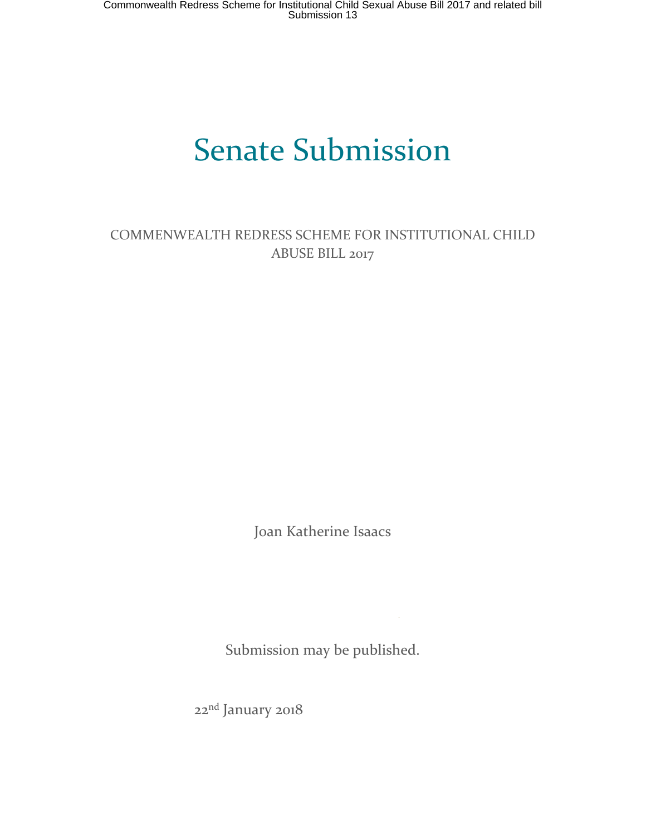# Senate Submission

COMMENWEALTH REDRESS SCHEME FOR INSTITUTIONAL CHILD ABUSE BILL 2017

Joan Katherine Isaacs

Submission may be published.

22nd January 2018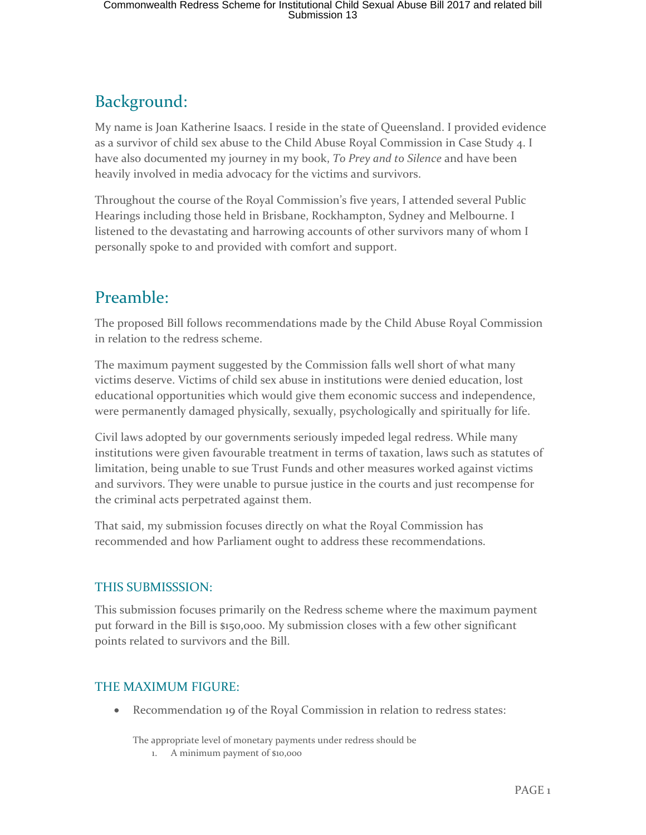# Background:

My name is Joan Katherine Isaacs. I reside in the state of Queensland. I provided evidence as a survivor of child sex abuse to the Child Abuse Royal Commission in Case Study 4. I have also documented my journey in my book, *To Prey and to Silence* and have been heavily involved in media advocacy for the victims and survivors.

Throughout the course of the Royal Commission's five years, I attended several Public Hearings including those held in Brisbane, Rockhampton, Sydney and Melbourne. I listened to the devastating and harrowing accounts of other survivors many of whom I personally spoke to and provided with comfort and support.

## Preamble:

The proposed Bill follows recommendations made by the Child Abuse Royal Commission in relation to the redress scheme.

The maximum payment suggested by the Commission falls well short of what many victims deserve. Victims of child sex abuse in institutions were denied education, lost educational opportunities which would give them economic success and independence, were permanently damaged physically, sexually, psychologically and spiritually for life.

Civil laws adopted by our governments seriously impeded legal redress. While many institutions were given favourable treatment in terms of taxation, laws such as statutes of limitation, being unable to sue Trust Funds and other measures worked against victims and survivors. They were unable to pursue justice in the courts and just recompense for the criminal acts perpetrated against them.

That said, my submission focuses directly on what the Royal Commission has recommended and how Parliament ought to address these recommendations.

## THIS SUBMISSSION:

This submission focuses primarily on the Redress scheme where the maximum payment put forward in the Bill is \$150,000. My submission closes with a few other significant points related to survivors and the Bill.

## THE MAXIMUM FIGURE:

Recommendation 19 of the Royal Commission in relation to redress states:

The appropriate level of monetary payments under redress should be

1. A minimum payment of \$10,000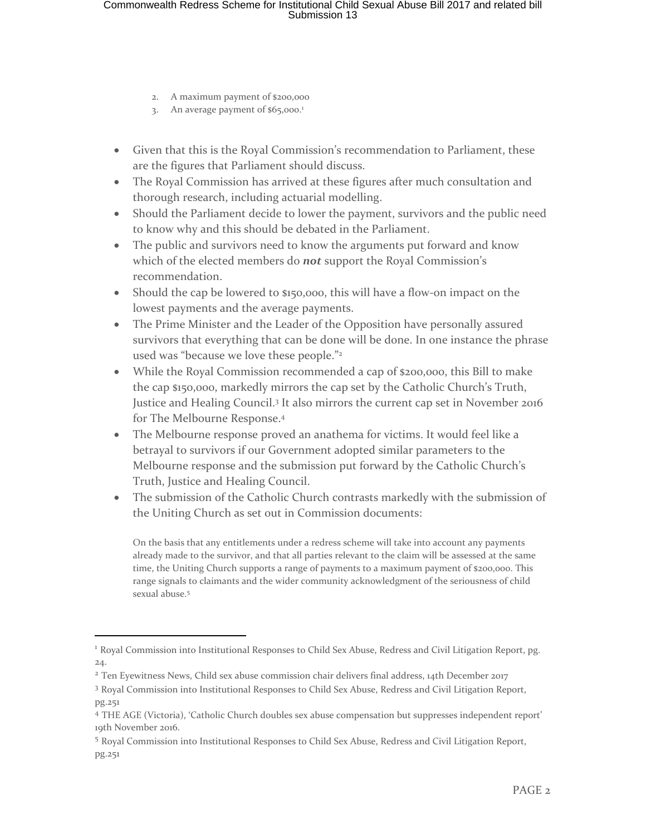- 2. A maximum payment of \$200,000
- 3. An average payment of \$65,000.<sup>1</sup>
- Given that this is the Royal Commission's recommendation to Parliament, these are the figures that Parliament should discuss.
- The Royal Commission has arrived at these figures after much consultation and thorough research, including actuarial modelling.
- Should the Parliament decide to lower the payment, survivors and the public need to know why and this should be debated in the Parliament.
- The public and survivors need to know the arguments put forward and know which of the elected members do *not* support the Royal Commission's recommendation.
- Should the cap be lowered to \$150,000, this will have a flow-on impact on the lowest payments and the average payments.
- The Prime Minister and the Leader of the Opposition have personally assured survivors that everything that can be done will be done. In one instance the phrase used was "because we love these people."<sup>2</sup>
- While the Royal Commission recommended a cap of \$200,000, this Bill to make the cap \$150,000, markedly mirrors the cap set by the Catholic Church's Truth, Justice and Healing Council.<sup>3</sup> It also mirrors the current cap set in November 2016 for The Melbourne Response.<sup>4</sup>
- The Melbourne response proved an anathema for victims. It would feel like a betrayal to survivors if our Government adopted similar parameters to the Melbourne response and the submission put forward by the Catholic Church's Truth, Justice and Healing Council.
- The submission of the Catholic Church contrasts markedly with the submission of the Uniting Church as set out in Commission documents:

On the basis that any entitlements under a redress scheme will take into account any payments already made to the survivor, and that all parties relevant to the claim will be assessed at the same time, the Uniting Church supports a range of payments to a maximum payment of \$200,000. This range signals to claimants and the wider community acknowledgment of the seriousness of child sexual abuse.<sup>5</sup>

<sup>1</sup> Royal Commission into Institutional Responses to Child Sex Abuse, Redress and Civil Litigation Report, pg. 24.

<sup>2</sup> Ten Eyewitness News, Child sex abuse commission chair delivers final address, 14th December 2017

<sup>&</sup>lt;sup>3</sup> Royal Commission into Institutional Responses to Child Sex Abuse, Redress and Civil Litigation Report, pg.251

<sup>4</sup> THE AGE (Victoria), 'Catholic Church doubles sex abuse compensation but suppresses independent report' 19th November 2016.

<sup>5</sup> Royal Commission into Institutional Responses to Child Sex Abuse, Redress and Civil Litigation Report, pg.251